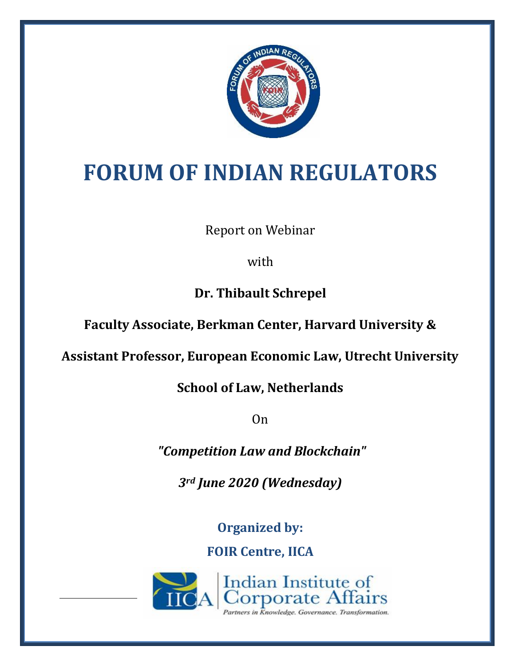

# **FORUM OF INDIAN REGULATORS**

Report on Webinar

with

**Dr. Thibault Schrepel**

**Faculty Associate, Berkman Center, Harvard University &**

**Assistant Professor, European Economic Law, Utrecht University** 

**School of Law, Netherlands** 

On

*"Competition Law and Blockchain"*

*3rd June 2020 (Wednesday)*

**Organized by:**

**FOIR Centre, IICA**

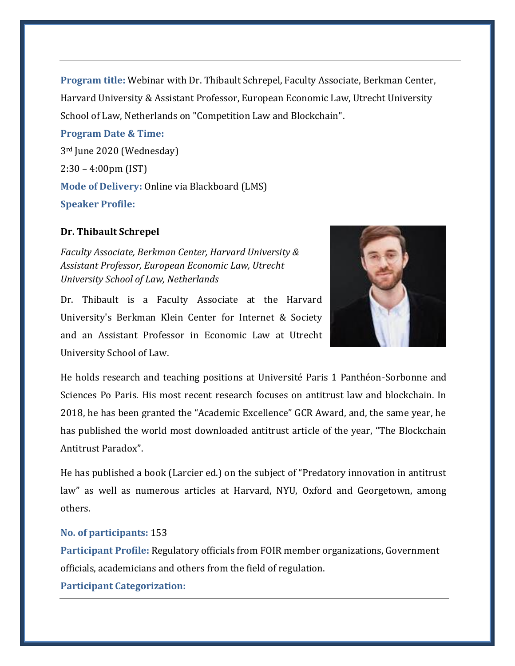**Program title:** Webinar with Dr. Thibault Schrepel, Faculty Associate, Berkman Center, Harvard University & Assistant Professor, European Economic Law, Utrecht University School of Law, Netherlands on "Competition Law and Blockchain".

**Program Date & Time:**  3rd June 2020 (Wednesday) 2:30 – 4:00pm (IST) **Mode of Delivery:** Online via Blackboard (LMS) **Speaker Profile:**

# **Dr. Thibault Schrepel**

*Faculty Associate, Berkman Center, Harvard University & Assistant Professor, European Economic Law, Utrecht University School of Law, Netherlands*

Dr. Thibault is a Faculty Associate at the Harvard University's Berkman Klein Center for Internet & Society and an Assistant Professor in Economic Law at Utrecht University School of Law.



He holds research and teaching positions at Université Paris 1 Panthéon-Sorbonne and Sciences Po Paris. His most recent research focuses on antitrust law and blockchain. In 2018, he has been granted the "Academic Excellence" GCR Award, and, the same year, he has published the world most downloaded antitrust article of the year, "The Blockchain Antitrust Paradox".

He has published a book (Larcier ed.) on the subject of "Predatory innovation in antitrust law" as well as numerous articles at Harvard, NYU, Oxford and Georgetown, among others.

### **No. of participants:** 153

**Participant Profile:** Regulatory officials from FOIR member organizations, Government officials, academicians and others from the field of regulation.

**Participant Categorization:**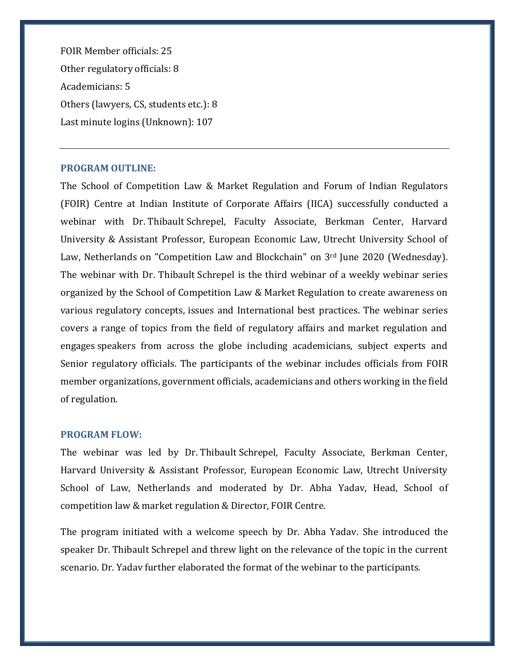FOIR Member officials: 25 Other regulatory officials: 8 Academicians: 5 Others (lawyers, CS, students etc.): 8 Last minute logins (Unknown): 107

# **PROGRAM OUTLINE:**

The School of Competition Law & Market Regulation and Forum of Indian Regulators (FOIR) Centre at Indian Institute of Corporate Affairs (IICA) successfully conducted a webinar with Dr. Thibault Schrepel, Faculty Associate, Berkman Center, Harvard University & Assistant Professor, European Economic Law, Utrecht University School of Law, Netherlands on "Competition Law and Blockchain" on 3rd June 2020 (Wednesday). The webinar with Dr. Thibault Schrepel is the third webinar of a weekly webinar series organized by the School of Competition Law & Market Regulation to create awareness on various regulatory concepts, issues and International best practices. The webinar series covers a range of topics from the field of regulatory affairs and market regulation and engages speakers from across the globe including academicians, subject experts and Senior regulatory officials. The participants of the webinar includes officials from FOIR member organizations, government officials, academicians and others working in the field of regulation.

#### **PROGRAM FLOW:**

The webinar was led by Dr. Thibault Schrepel, Faculty Associate, Berkman Center, Harvard University & Assistant Professor, European Economic Law, Utrecht University School of Law, Netherlands and moderated by Dr. Abha Yadav, Head, School of competition law & market regulation & Director, FOIR Centre.

The program initiated with a welcome speech by Dr. Abha Yadav. She introduced the speaker Dr. Thibault Schrepel and threw light on the relevance of the topic in the current scenario. Dr. Yadav further elaborated the format of the webinar to the participants.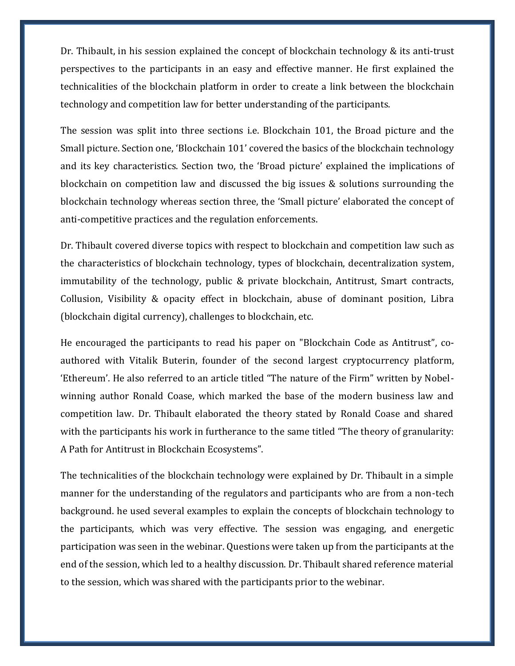Dr. Thibault, in his session explained the concept of blockchain technology & its anti-trust perspectives to the participants in an easy and effective manner. He first explained the technicalities of the blockchain platform in order to create a link between the blockchain technology and competition law for better understanding of the participants.

The session was split into three sections i.e. Blockchain 101, the Broad picture and the Small picture. Section one, 'Blockchain 101' covered the basics of the blockchain technology and its key characteristics. Section two, the 'Broad picture' explained the implications of blockchain on competition law and discussed the big issues & solutions surrounding the blockchain technology whereas section three, the 'Small picture' elaborated the concept of anti-competitive practices and the regulation enforcements.

Dr. Thibault covered diverse topics with respect to blockchain and competition law such as the characteristics of blockchain technology, types of blockchain, decentralization system, immutability of the technology, public & private blockchain, Antitrust, Smart contracts, Collusion, Visibility & opacity effect in blockchain, abuse of dominant position, Libra (blockchain digital currency), challenges to blockchain, etc.

He encouraged the participants to read his paper on "Blockchain Code as Antitrust", coauthored with Vitalik Buterin, founder of the second largest cryptocurrency platform, 'Ethereum'. He also referred to an article titled "The nature of the Firm" written by Nobelwinning author Ronald Coase, which marked the base of the modern business law and competition law. Dr. Thibault elaborated the theory stated by Ronald Coase and shared with the participants his work in furtherance to the same titled "The theory of granularity: A Path for Antitrust in Blockchain Ecosystems".

The technicalities of the blockchain technology were explained by Dr. Thibault in a simple manner for the understanding of the regulators and participants who are from a non-tech background. he used several examples to explain the concepts of blockchain technology to the participants, which was very effective. The session was engaging, and energetic participation was seen in the webinar. Questions were taken up from the participants at the end of the session, which led to a healthy discussion. Dr. Thibault shared reference material to the session, which was shared with the participants prior to the webinar.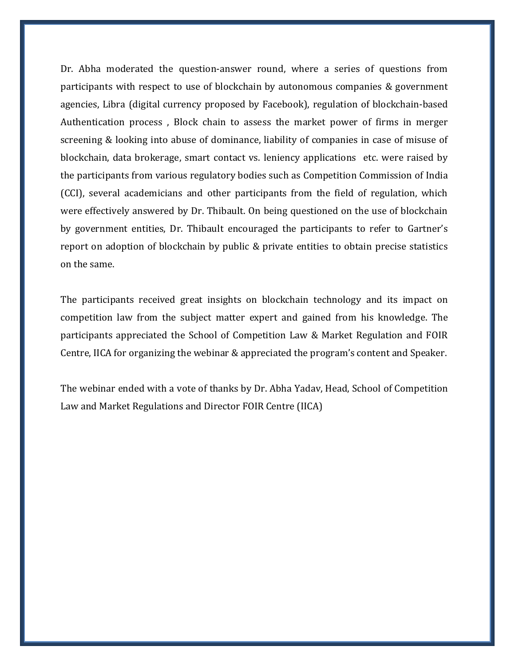Dr. Abha moderated the question-answer round, where a series of questions from participants with respect to use of blockchain by autonomous companies & government agencies, Libra (digital currency proposed by Facebook), regulation of blockchain-based Authentication process , Block chain to assess the market power of firms in merger screening & looking into abuse of dominance, liability of companies in case of misuse of blockchain, data brokerage, smart contact vs. leniency applications etc. were raised by the participants from various regulatory bodies such as Competition Commission of India (CCI), several academicians and other participants from the field of regulation, which were effectively answered by Dr. Thibault. On being questioned on the use of blockchain by government entities, Dr. Thibault encouraged the participants to refer to Gartner's report on adoption of blockchain by public & private entities to obtain precise statistics on the same.

The participants received great insights on blockchain technology and its impact on competition law from the subject matter expert and gained from his knowledge. The participants appreciated the School of Competition Law & Market Regulation and FOIR Centre, IICA for organizing the webinar & appreciated the program's content and Speaker.

The webinar ended with a vote of thanks by Dr. Abha Yadav, Head, School of Competition Law and Market Regulations and Director FOIR Centre (IICA)